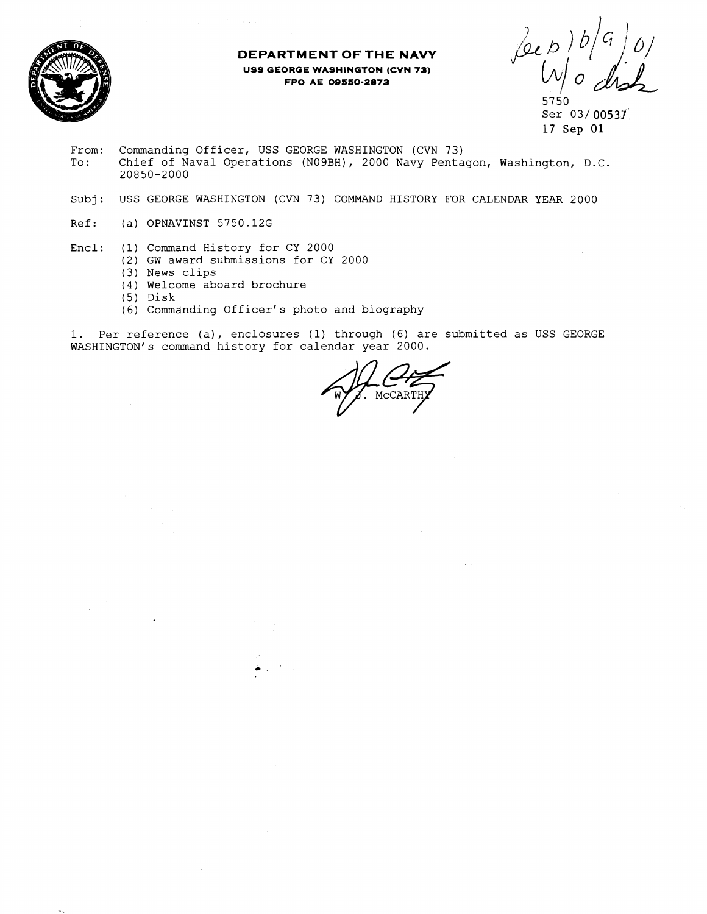

## **DEPARTMENT OF THE NAVY USS GEORGE WASHINGTON (CVN 73) FPO AE 09550-2873**

Leep

5750 Ser 03/00531 17 Sep 01

- From: Commanding Officer, USS GEORGE WASHINGTON (CVN 73)<br>To: Chief of Naval Operations (N09BH), 2000 Navy Penta Chief of Naval Operations (NO9BH), 2000 Navy Pentagon, Washington, D.C. 20850-2000
- Subj: USS GEORGE WASHINGTON (CVN 73) COMMAND HISTORY FOR CALENDAR YEAR 2000
- Ref: (a) OPNAVINST 5750.126
- Encl: (1) Command History for CY 2000
	- (2) GW award submissions for CY 2000
		- (3) News clips
		- (4) Welcome aboard brochure
		- (5) Disk
		- (6) Commanding Officer's photo and biography

 $\bullet$  .  $\uparrow$ 

1. Per reference (a), enclosures (1) through **(6)** are submitted as USS GEORGE WASHINGTON'S command history for calendar year 2000.

MCCARTH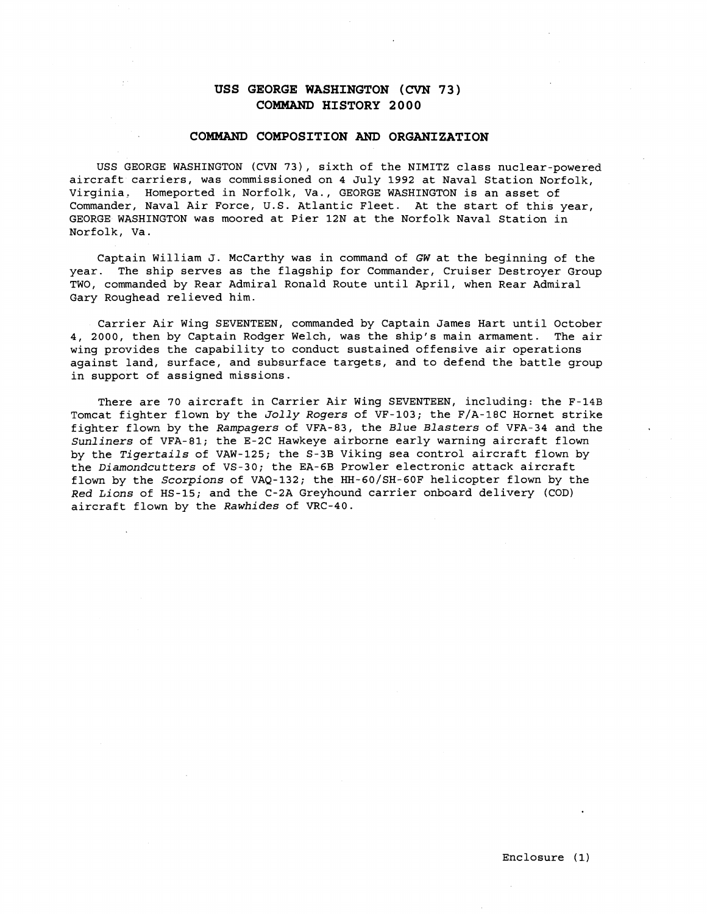# **USS GEORGE WASHINGTON (CVN 73) COMMAND HISTORY 2 0 00**

#### **COMMAND COMPOSITION AND ORGANIZATION**

USS GEORGE WASHINGTON (CVN 731, sixth of the NIMITZ class nuclear-powered aircraft carriers, was commissioned on 4 July 1992 at Naval Station Norfolk, Virginia. Homeported in Norfolk, Va., GEORGE WASHINGTON is an asset of Commander, Naval Air Force, U.S. Atlantic Fleet. At the start of this year, GEORGE WASHINGTON was moored at Pier 12N at the Norfolk Naval Station in Norfolk, Va.

Captain William J. McCarthy was in command of GW at the beginning of the year. The ship serves as the flagship for Commander, Cruiser Destroyer Group TWO, commanded by Rear Admiral Ronald Route until April, when Rear Admiral Gary Roughead relieved him.

Carrier Air Wing SEVENTEEN, commanded by Captain James Hart until October 4, 2000, then by Captain Rodger Welch, was the ship's main armament. The air wing provides the capability to conduct sustained offensive air operations against land, surface, and subsurface targets, and to defend the battle group in support of assigned missions.

There are 70 aircraft in Carrier Air Wing SEVENTEEN, including: the F-14B Tomcat fighter flown by the Jolly Rogers of VF-103; the F/A-18C Hornet strike fighter flown by the Rampagers of VFA-83, the Blue Blasters of VFA-34 and the Sunliners of VFA-81; the E-2C Hawkeye airborne early warning aircraft flown by the Tigertails of VAW-125; the S-3B Viking sea control aircraft flown by the Diamondcutters of VS-30; the EA-6B Prowler electronic attack aircraft flown by the Scorpions of VAQ-132; the HH-60/SH-60F helicopter flown by the Red Lions of HS-15; and the C-2A Greyhound carrier onboard delivery (COD) aircraft flown by the Rawhides of VRC-40.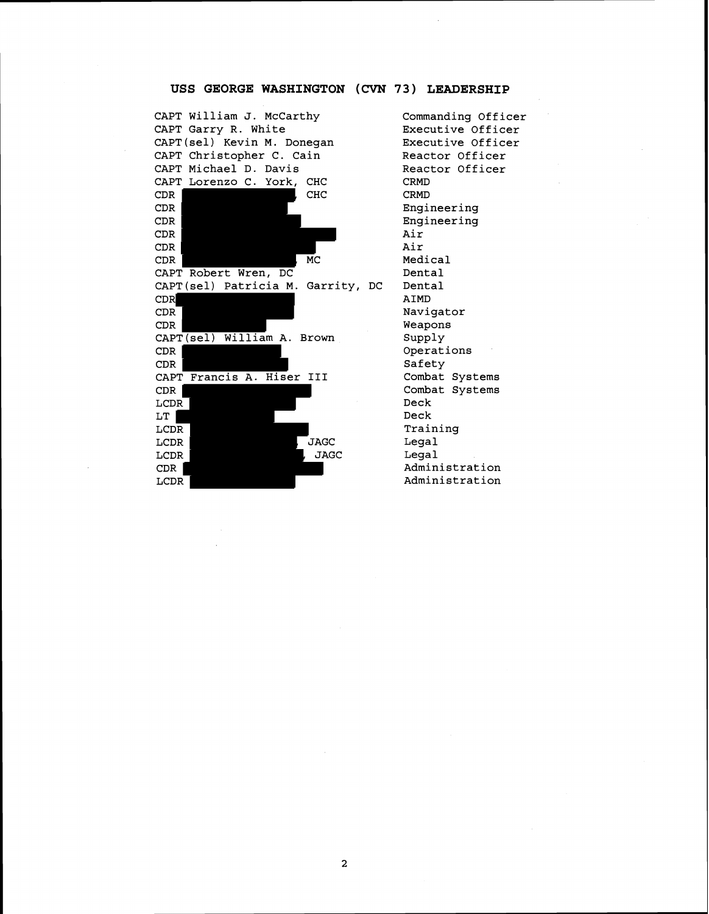## **USS GEORGE WASHINGTON** (CVN **73) LEADERSHIP**

CAPT William J. McCarthy CAPT Garry R. White CAPT(se1) Kevin M. Donegan CAPT Christopher C. Cain CAPT Michael D. Davis<br>CAPT Lorenzo C. York, CHC CAPT Lorenzo C. York, CH<sub>C</sub> CDR CDR CDR CDR CDR MC CAPT Robert Wren, DC CAPT (sel) Patricia M. Garrity, DC CDR CDR CDR CAPT (sel) William A. Brown CDR CDR CAPT Francis A. Hiser **I11**  CDR LCDR<sup>-1</sup> LT | LCD<sub>R</sub> LCDR LAGC , JAGC LCDR CDR LCDR

Commanding Officer Executive Officer Executive Officer Reactor Officer Reactor Officer CRMD CRMD Engineering Engineering Air Air Medical Dental Dental AIMD Navigator Weapons Supply Operations Safety Combat Systems Combat Systems Deck Deck Training Legal Legal Administration Administration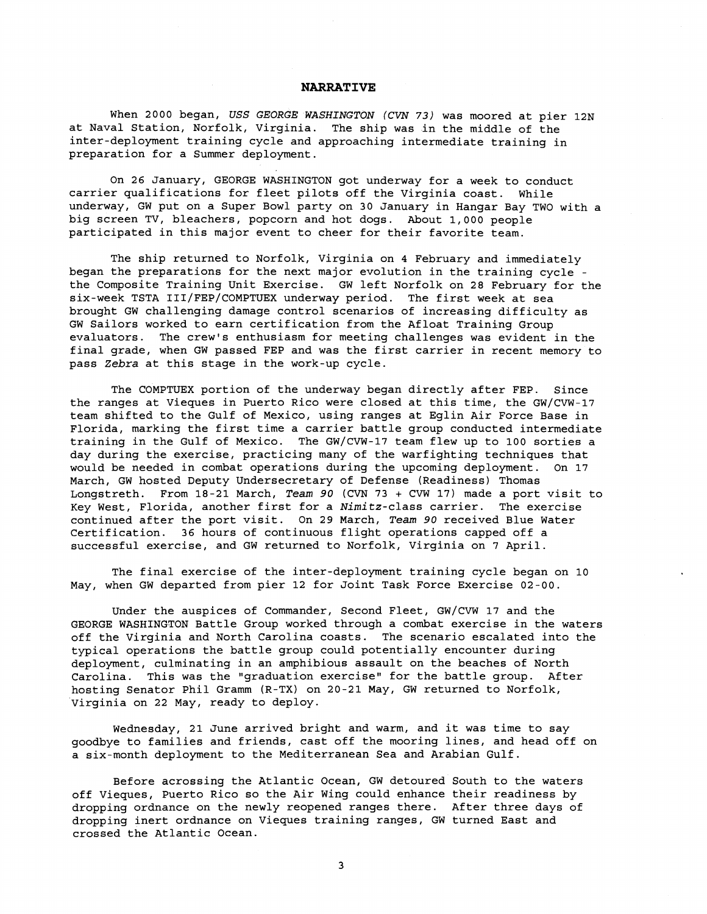#### **NARRATIVE**

When 2000 began, USS GEORGE WASHINGTON (CVN **73)** was moored at pier 12N at Naval Station, Norfolk, Virginia. The ship was in the middle of the inter-deployment training cycle and approaching intermediate training in preparation for a Summer deployment.

On 26 January, GEORGE WASHINGTON got underway for a week to conduct carrier qualifications for fleet pilots off the Virginia coast. While underway, GW put on a Super Bowl party on 30 January in Hangar Bay TWO with a big screen TV, bleachers, popcorn and hot dogs. About 1,000 people participated in this major event to cheer for their favorite team.

The ship returned to Norfolk, Virginia on 4 February and immediately began the preparations for the next major evolution in the training cycle the Composite Training Unit Exercise. GW left Norfolk on 28 February for the six-week TSTA 111/FEP/COMPTUEX underway period. The first week at sea brought GW challenging damage control scenarios of increasing difficulty as GW Sailors worked to earn certification from the Afloat Training Group evaluators. The crew's enthusiasm for meeting challenges was evident in the final grade, when GW passed FEP and was the first carrier in recent memory to pass Zebra at this stage in the work-up cycle.

The COMPTUEX portion of the underway began directly after FEP. Since the ranges at Vieques in Puerto Rico were closed at this time, the GW/CVW-17 team shifted to the Gulf of Mexico, using ranges at Eglin Air Force Base in Florida, marking the first time a carrier battle group conducted intermediate training in the Gulf of Mexico. The GW/CVW-17 team flew up to 100 sorties a day during the exercise, practicing many of the warfighting techniques that would be needed in combat operations during the upcoming deployment. On 17 March, GW hosted Deputy Undersecretary of Defense (Readiness) Thomas Longstreth. From 18-21 March, Team 90 (CVN 73 + CVW 17) made a port visit to Key West, Florida, another first for a Nimitz-class carrier. The exercise continued after the port visit. On 29 March, Team 90 received Blue Water Certification. 36 hours of continuous flight operations capped off a successful exercise, and GW returned to Norfolk, Virginia on 7 April.

The final exercise of the inter-deployment training cycle began on 10 May, when GW departed from pier 12 for Joint Task Force Exercise 02-00.

Under the auspices of Commander, Second Fleet, GW/CVW 17 and the GEORGE WASHINGTON Battle Group worked through a combat exercise in the waters off the Virginia and North Carolina coasts. The scenario escalated into the typical operations the battle group could potentially encounter during deployment, culminating in an amphibious assault on the beaches of North Carolina. This was the "graduation exercise" for the battle group. After hosting Senator Phil Gramm (R-TX) on 20-21 May, GW returned to Norfolk, Virginia on 22 May, ready to deploy.

Wednesday, 21 June arrived bright and warm, and it was time to say goodbye to families and friends, cast off the mooring lines, and head off on a six-month deployment to the Mediterranean Sea and Arabian Gulf.

Before acrossing the Atlantic Ocean, GW detoured South to the waters off Vieques, Puerto Rico so the Air Wing could enhance their readiness by dropping ordnance on the newly reopened ranges there. After three days of dropping inert ordnance on Vieques training ranges, GW turned East and crossed the Atlantic Ocean.

3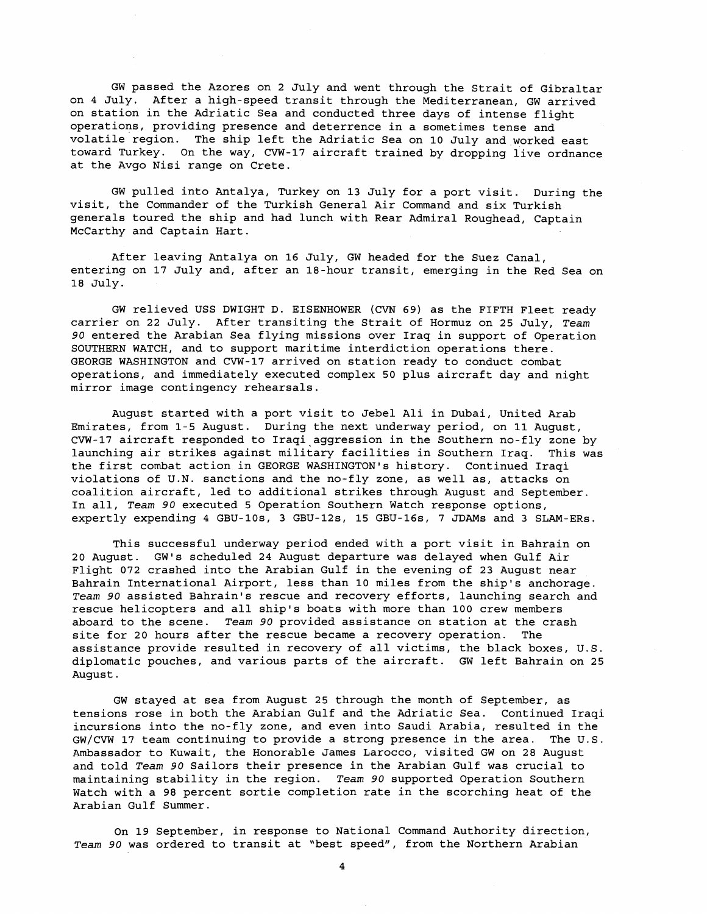GW passed the Azores on 2 July and went through the Strait of Gibraltar on 4 July. After a high-speed transit through the Mediterranean, GW arrived on station in the Adriatic Sea and conducted three days of intense flight operations, providing presence and deterrence in a sometimes tense and volatile region. The ship left the Adriatic Sea on 10 July and worked east toward Turkey. On the way, CVW-17 aircraft trained by dropping live ordnance at the Avgo Nisi range on Crete.

GW pulled into Antalya, Turkey on 13 July for a port visit. During the visit, the Commander of the Turkish General Air Command and six Turkish generals toured the ship and had lunch with Rear Admiral Roughead, Captain McCarthy and Captain Hart.

After leaving Antalya on 16 July, GW headed for the Suez Canal, entering on 17 July and, after an 18-hour transit, emerging in the Red Sea on 18 July.

GW relieved USS DWIGHT D. EISENHOWER (CVN 69) as the FIFTH Fleet ready carrier on 22 July. After transiting the Strait of Hormuz on 25 July, *Team*  **90** entered the Arabian Sea flying missions over Iraq in support of Operation SOUTHERN WATCH, and to support maritime interdiction operations there. GEORGE WASHINGTON and CVW-17 arrived on station ready to conduct combat operations, and immediately executed complex 50 plus aircraft day and night mirror image contingency rehearsals.

August started with a port visit to Jebel Ali in Dubai, United Arab Emirates, from 1-5 August. During the next underway period, on 11 August, CVW-17 aircraft responded to Iraqi aggression in the Southern no-fly zone by launching air strikes against military facilities in Southern Iraq. This was the first combat action in GEORGE WASHINGTON'S history. Continued Iraqi violations of U.N. sanctions and the no-fly zone, as well as, attacks on coalition aircraft, led to additional strikes through August and September. In all, *Team* **90** executed 5 Operation Southern Watch response options, expertly expending 4 GBU-lOs, 3 GBU-12s, 15 GBU-16s, 7 JDAMs and 3 SLAM-ERs.

This successful underway period ended with a port visit in Bahrain on 20 August. GW's scheduled 24 August departure was delayed when Gulf Air Flight 072 crashed into the Arabian Gulf in the evening of 23 August near Bahrain International Airport, less than 10 miles from the ship's anchorage. *Team* **90** assisted Bahrain's rescue and recovery efforts, launching search and rescue helicopters and all ship's boats with more than 100 crew members aboard to the scene. *Team* **90** provided assistance on station at the crash site for 20 hours after the rescue became a recovery operation. The assistance provide resulted in recovery of all victims, the black boxes, U.S. diplomatic pouches, and various parts of the aircraft. GW left Bahrain on 25 August.

GW stayed at sea from August 25 through the month of September, as tensions rose in both the Arabian Gulf and the Adriatic Sea. Continued Iraqi incursions into the no-fly zone, and even into Saudi Arabia, resulted in the GW/CVW 17 team continuing to provide a strong presence in the area. The U.S. Ambassador to Kuwait, the Honorable James Larocco, visited GW on 28 August and told *Team* **90** Sailors their presence in the Arabian Gulf was crucial to maintaining stability in the region. *Team* **90** supported Operation Southern Watch with a 98 percent sortie completion rate in the scorching heat of the Arabian Gulf Summer.

On 19 September, in response to National Command Authority direction, *Team* **90** was ordered to transit at "best speed", from the Northern Arabian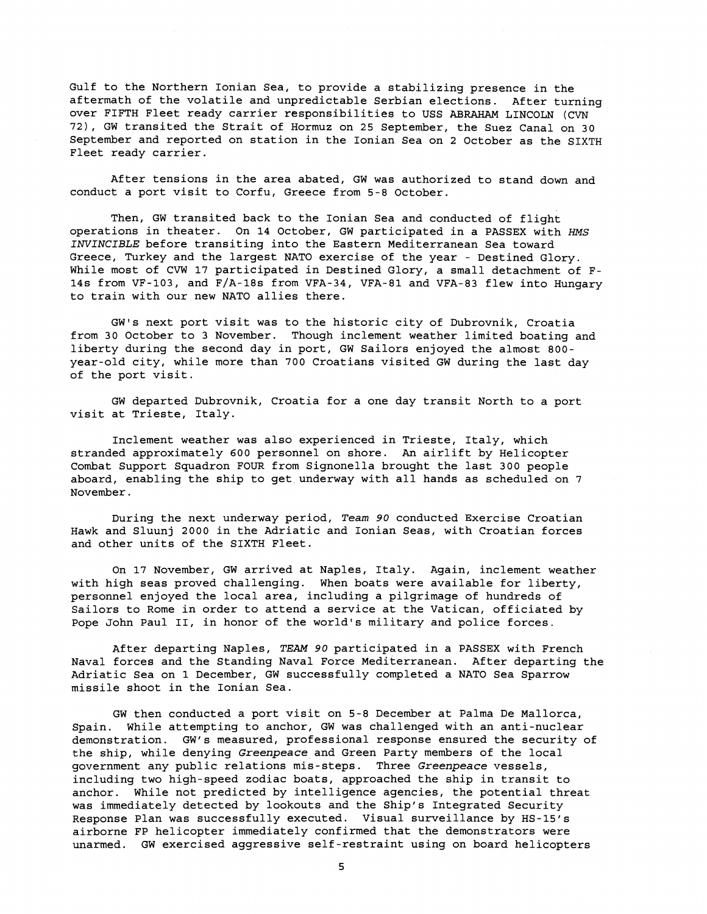Gulf to the Northern Ionian Sea, to provide a stabilizing presence in the aftermath of the volatile and unpredictable Serbian elections. After turning over FIFTH Fleet ready carrier responsibilities to USS ABRAHAM LINCOLN (CVN 72), GW transited the Strait of Hormuz on 25 September, the Suez Canal on 30 September and reported on station in the Ionian Sea on 2 October as the SIXTH Fleet ready carrier.

After tensions in the area abated, GW was authorized to stand down and conduct a port visit to Corfu, Greece from 5-8 October.

Then, GW transited back to the Ionian Sea and conducted of flight operations in theater. On 14 October, GW participated in a PASSEX with *ms*  INVINCIBLE before transiting into the Eastern Mediterranean Sea toward Greece, Turkey and the largest NATO exercise of the year - Destined Glory. While most of CVW 17 participated in Destined Glory, a small detachment of F-14s from VF-103, and F/A-18s from VFA-34, VFA-81 and VFA-83 flew into Hungary to train with our new NATO allies there.

GW1s next port visit was to the historic city of Dubrovnik, Croatia from 30 October to 3 November. Though inclement weather limited boating and liberty during the second day in port, GW Sailors enjoyed the almost 800 year-old city, while more than 700 Croatians visited GW during the last day of the port visit.

GW departed Dubrovnik, Croatia for a one day transit North to a port visit at Trieste, Italy.

Inclement weather was also experienced in Trieste, Italy, which stranded approximately 600 personnel on shore. An airlift by Helicopter Combat Support Squadron FOUR from Signonella brought the last 300 people aboard, enabling the ship to get underway with all hands as scheduled on 7 November.

During the next underway period, **Team 90** conducted Exercise Croatian Hawk and Sluunj 2000 in the Adriatic and Ionian Seas, with Croatian forces and other units of the SIXTH Fleet.

On 17 November, GW arrived at Naples, Italy. Again, inclement weather with high seas proved challenging. When boats were available for liberty, personnel enjoyed the local area, including a pilgrimage of hundreds of Sailors to Rome in order to attend a service at the Vatican, officiated by Pope John Paul 11, in honor of the world's military and police forces.

After departing Naples, TEAM **90** participated in a PASSEX with French Naval forces and the Standing Naval Force Mediterranean. After departing the Adriatic Sea on 1 December, GW successfully completed a NATO Sea Sparrow missile shoot in the Ionian Sea.

GW then conducted a port visit on 5-8 December at Palma De Mallorca, Spain. While attempting to anchor, GW was challenged with an anti-nuclear demonstration. GW's measured, professional response ensured the security of the ship, while denying **Greenpeace** and Green Party members of the local government any public relations mis-steps. Three **Greenpeace** vessels, including two high-speed zodiac boats, approached the ship in transit to anchor. While not predicted by intelligence agencies, the potential threat was immediately detected by lookouts and the Ship's Integrated Security Response Plan was successfully executed. Visual surveillance by HS-15's airborne FP helicopter immediately confirmed that the demonstrators were unarmed. GW exercised aggressive self-restraint using on board helicopters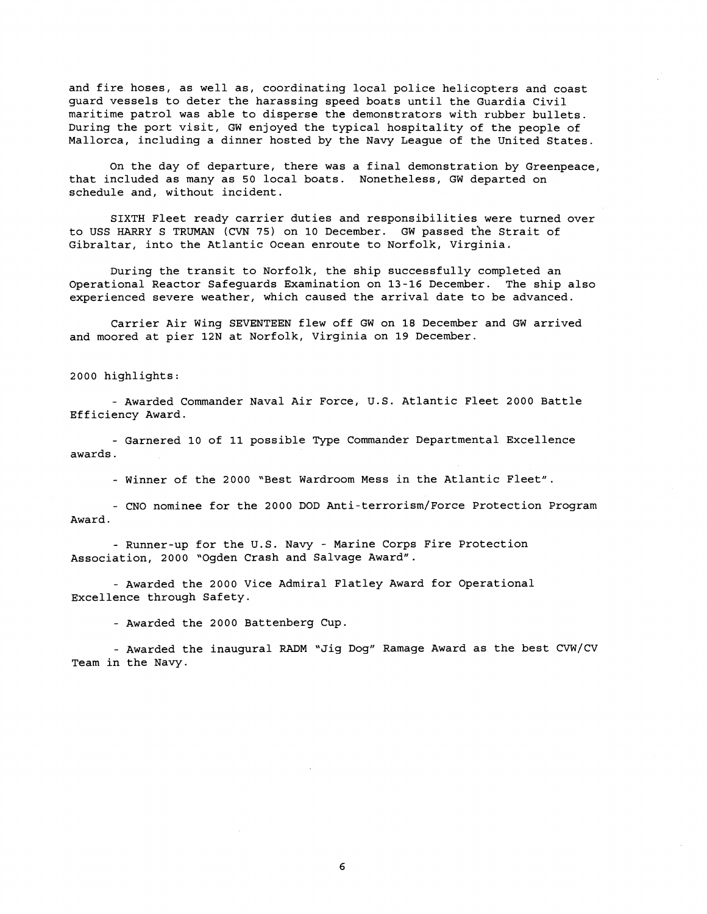and fire hoses, as well as, coordinating local police helicopters and coast guard vessels to deter the harassing speed boats until the Guardia Civil maritime patrol was able to disperse the demonstrators with rubber bullets. During the port visit, GW enjoyed the typical hospitality of the people of Mallorca, including a dinner hosted by the Navy League of the United States

On the day of departure, there was a final demonstration by Greenpeace, that included as many as 50 local boats. Nonetheless, GW departed on schedule and, without incident.

SIXTH Fleet ready carrier duties and responsibilities were turned over to USS HARRY S TRUMAN (CVN 75) on 10 December. GW passed the Strait of Gibraltar, into the Atlantic Ocean enroute to Norfolk, Virginia.

During the transit to Norfolk, the ship successfully completed an Operational Reactor Safeguards Examination on 13-16 December. The ship also experienced severe weather, which caused the arrival date to be advanced.

Carrier Air Wing SEVENTEEN flew off GW on 18 December and GW arrived and moored at pier 12N at Norfolk, Virginia on 19 December.

### 2000 highlights:

- Awarded Commander Naval Air Force, U.S. Atlantic Fleet 2000 Battle Efficiency Award.

- Garnered 10 of 11 possible Type Commander Departmental Excellence awards.

- Winner of the 2000 "Best Wardroom Mess in the Atlantic Fleet".

- CNO nominee for the 2000 DOD Anti-terrorism/Force Protection Program Award.

- Runner-up for the U.S. Navy - Marine Corps Fire Protection Association, 2000 "Ogden Crash and Salvage Award".

- Awarded the 2000 Vice Admiral Flatley Award for Operational Excellence through Safety.

- Awarded the 2000 Battenberg Cup

- Awarded the inaugural **RADM** "Jig Dog" Ramage Award as the best CVW/CV Team in the Navy.

6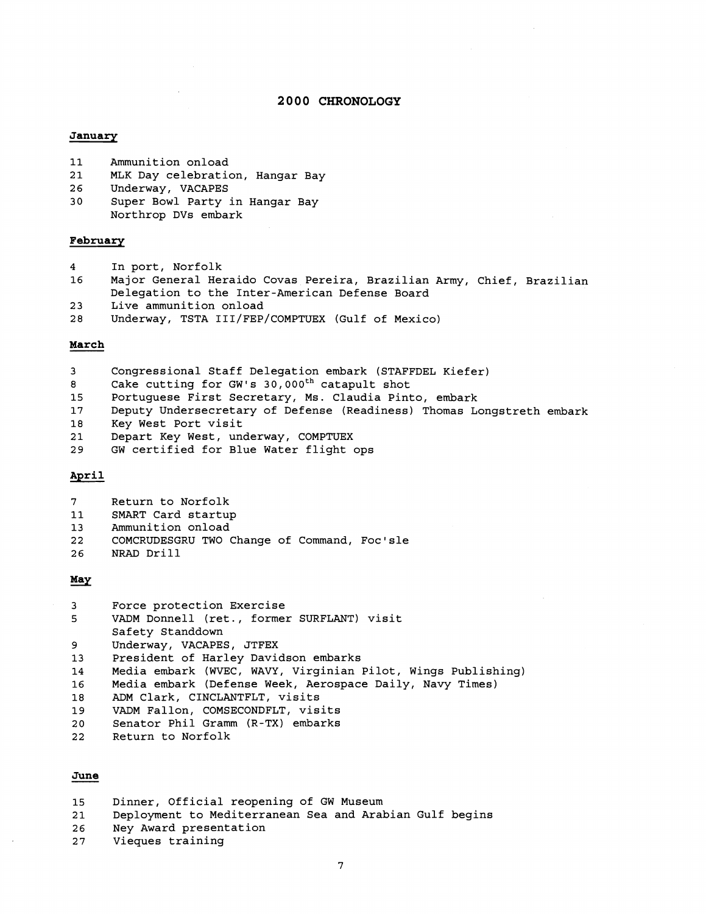#### **2 0 0 0 CHRONOLOGY**

#### January

- **11** Ammunition onload
- **21** MLK Day celebration, Hangar Bay
- **26** Underway, VACAPES
- 30 Super Bowl Party in Hangar Bay Northrop DVs embark

#### **February**

- 4 In port, Norfolk
- **16** Major General Heraido Covas Pereira, Brazilian Army, Chief, Brazilian Delegation to the Inter-American Defense Board
- **2** 3 Live ammunition onload
- **28** Underway, TSTA III/FEP/COMPTUEX (Gulf of Mexico)

#### **March**

- 3 Congressional Staff Delegation embark (STAFFDEL Kiefer)
- 8 Cake cutting for GW's 30,000<sup>th</sup> catapult shot
- **15** Portuguese First Secretary, Ms. Claudia Pinto, embark
- **17** Deputy Undersecretary of Defense (Readiness) Thomas Longstreth embark
- **18** Key West Port visit
- **21** Depart Key west, underway, COMPTUEX
- **29** GW certified for Blue Water flight ops

### **April**

| ⇁ |  | Return to Norfolk |
|---|--|-------------------|
|---|--|-------------------|

- **11** SMART Card startup
- 13 Ammunition onload
- 22 COMCRUDESGRU TWO Change of Command, Foc'sle
- 26 **NRAD** Drill

#### May

| 3           | Force protection Exercise                                    |
|-------------|--------------------------------------------------------------|
| 5           | VADM Donnell (ret., former SURFLANT) visit                   |
|             | Safety Standdown                                             |
| 9           | Underway, VACAPES, JTFEX                                     |
| 13          | President of Harley Davidson embarks                         |
| 14          | Media embark (WVEC, WAVY, Virginian Pilot, Wings Publishing) |
| 16          | Media embark (Defense Week, Aerospace Daily, Navy Times)     |
| 18          | ADM Clark, CINCLANTFLT, visits                               |
| 19          | VADM Fallon, COMSECONDFLT, visits                            |
| 20          | Senator Phil Gramm (R-TX) embarks                            |
| 22          | Return to Norfolk                                            |
|             |                                                              |
|             |                                                              |
| <b>June</b> |                                                              |
|             |                                                              |
| $\sim$      | Dinner, Official reconoming of CW Museum                     |

- **15** Dinner, Official reopening of GW Museum
- **21** Deployment to Mediterranean Sea and Arabian Gulf begins
- **26** Ney Award presentation
- **27** Vieques training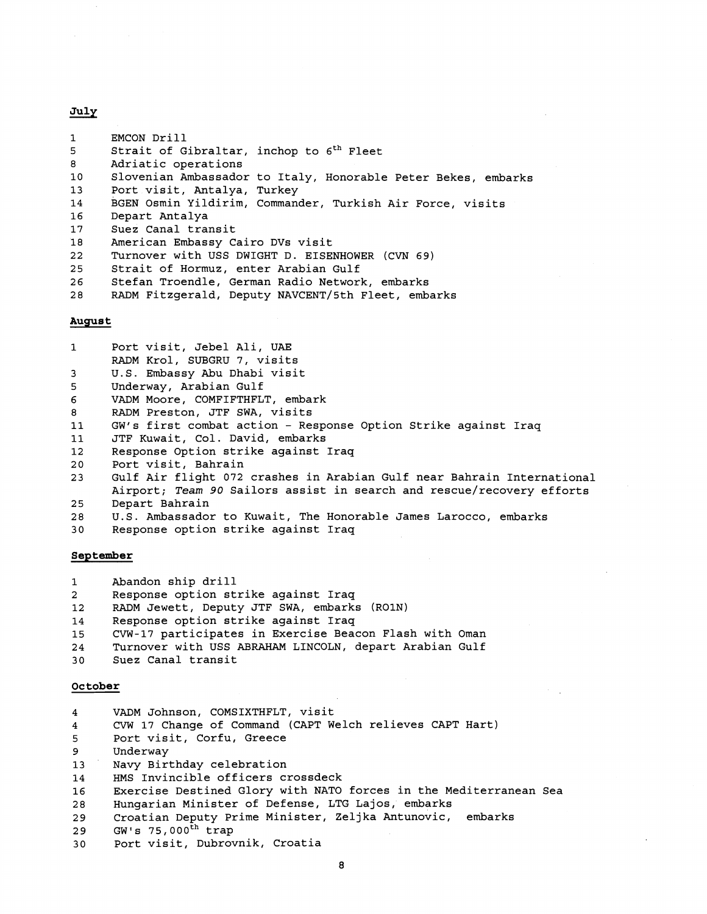#### July

| $\mathbf{1}$ | EMCON Drill                                                   |  |
|--------------|---------------------------------------------------------------|--|
| 5            | Strait of Gibraltar, inchop to 6 <sup>th</sup> Fleet          |  |
| 8            | Adriatic operations                                           |  |
| 10           | Slovenian Ambassador to Italy, Honorable Peter Bekes, embarks |  |
| 13           | Port visit, Antalya, Turkey                                   |  |
| 14           | BGEN Osmin Yildirim, Commander, Turkish Air Force, visits     |  |
| 16           | Depart Antalya                                                |  |
| 17           | Suez Canal transit                                            |  |
| 18           | American Embassy Cairo DVs visit                              |  |
| 22           | Turnover with USS DWIGHT D. EISENHOWER (CVN 69)               |  |
| 25           | Strait of Hormuz, enter Arabian Gulf                          |  |
| 26           | Stefan Troendle, German Radio Network, embarks                |  |
| 28           | RADM Fitzgerald, Deputy NAVCENT/5th Fleet, embarks            |  |
|              |                                                               |  |
| August       |                                                               |  |

 $\mathbf{1}$ 

 $\overline{3}$ 5

| 6                 | VADM Moore, COMFIFTHFLT, embark                                        |
|-------------------|------------------------------------------------------------------------|
| 8                 | RADM Preston, JTF SWA, visits                                          |
| 11                | GW's first combat action - Response Option Strike against Iraq         |
| 11                | JTF Kuwait, Col. David, embarks                                        |
| $12 \overline{ }$ | Response Option strike against Iraq                                    |
| 20                | Port visit, Bahrain                                                    |
| 23                | Gulf Air flight 072 crashes in Arabian Gulf near Bahrain International |
|                   | Airport; Team 90 Sailors assist in search and rescue/recovery efforts  |
| 25                | Depart Bahrain                                                         |
| 28                | U.S. Ambassador to Kuwait, The Honorable James Larocco, embarks        |

30 Response option strike against Iraq

Port visit, Jebel Ali, UAE RADM Krol, SUBGRU 7, visits U.S. Embassy Abu Dhabi visit

Underway, Arabian Gulf

#### **September**

1 Abandon ship drill

- 2 Response option strike against Iraq
- 12 RADM Jewett, Deputy JTF SWA, embarks (ROlN)
- 14 Response option strike against Iraq
- 15 CVW-17 participates in Exercise Beacon Flash with Oman
- 24 Turnover with USS ABRAHAM LINCOLN, depart Arabian Gulf<br>30 Suez Canal transit
- Suez Canal transit

# **October**

VADM Johnson, COMSIXTHFLT, visit  $\bf{4}$ 

CVW 17 Change of Command (CAPT Welch relieves CAPT Hart)  $\overline{\mathbf{4}}$ 

5 Port visit, Corfu, Greece

- Underway 9
- Navy Birthday celebration 13
- 14 HMS Invincible officers crossdeck
- Exercise Destined Glory with NATO forces in the Mediterranean Sea 16
- Hungarian Minister of Defense, LTG Lajos, embarks 28

```
Croatian Deputy Prime Minister, Zeljka Antunovic, embarks 
29
```
- 29 GW's  $75,000^{\text{th}}$  trap
- 30 Port visit, Dubrovnik, Croatia